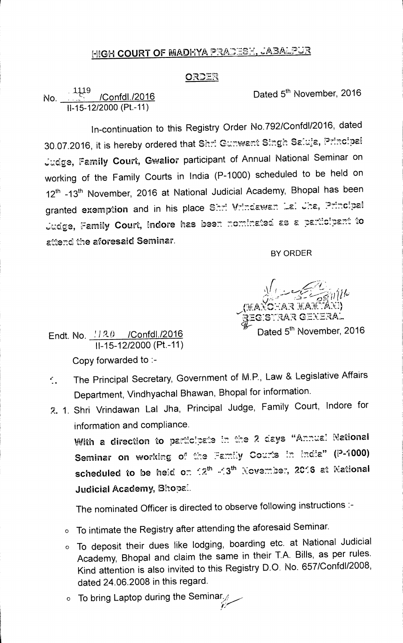## **MIGH COURT OF MADHYA PRADESH, JABALPUR**

## **ORD'ER**

**No. .I /Confdl./2016 Dated 5th November, 2016 11-15-12/2000 (Pt.-11)**  1119

**1n-continuation to this Registry Order No.792/Confd1/2016, dated 30.07.2016, it is hereby ordered that Shri Gumwant Singh Saluja, Principal Family Court, Gwalior participant of Annual National Seminar on working of the Family Courts in India (P-1000) scheduled to be held on 12th-13th November, 2016 at National Judicial Academy, Bhopal has been**  granted exemption and in his place Shri Vrindawan Lai Jha, Principal Judge, Family Court, Indore has been nominated as a participant to **attend the aforesaid Seminar.** 

**BY ORDER** 

*f r*  ` *, ,*  **\_VAR \_**   $\iota$ **PEG:STIlAR GEXERA1.**  Endt. No.  $\frac{120}{120}$  /Confdl./2016

**11-15-12/2000 (Pt.-11) Copy forwarded to :-** 

- **. The Principal Secretary, Government of M.P., Law & Legislative Affairs Department, Vindhyachal Bhawan, Bhopal for information.**
- **2. 1. Shri Vrindawan Lal Jha, Principal Judge, Family Court, Indore for information and compliance.**

With a direction to participate in the 2 days "Annual National Seminar on working of the Family Courts in India" (P-1000) **scheduled to be he:0d on 7:.th 3th xeve:72 . :337, 2.C•:6 at Xational Judicial Academy, Bhopal.** 

**The nominated Officer is directed to observe following instructions :-**

- **0 To intimate the Registry after attending the aforesaid Seminar.**
- **0 To deposit their dues like lodging, boarding etc. at National Judicial Academy, Bhopal and claim the same in their T.A. Bills, as per rules. Kind attention is also invited to this Registry D.O. No. 657/Confd1/2008, dated 24.06.2008 in this regard.**
- o To bring Laptop during the Seminar.